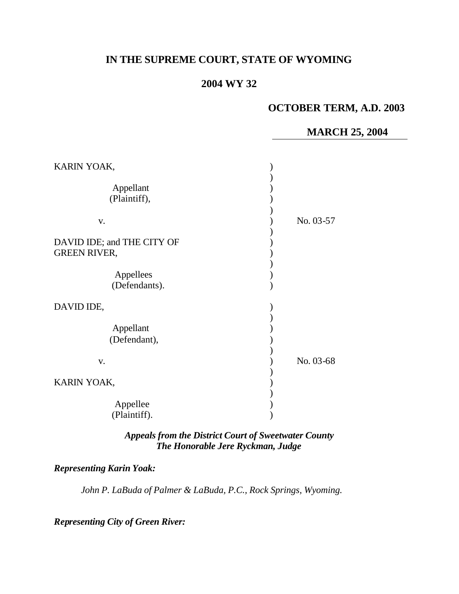# **IN THE SUPREME COURT, STATE OF WYOMING**

## **2004 WY 32**

### **OCTOBER TERM, A.D. 2003**

#### **MARCH 25, 2004**

| KARIN YOAK,                                                                     |           |
|---------------------------------------------------------------------------------|-----------|
| Appellant<br>(Plaintiff),                                                       |           |
| V.                                                                              | No. 03-57 |
| DAVID IDE; and THE CITY OF<br><b>GREEN RIVER,</b><br>Appellees<br>(Defendants). |           |
| DAVID IDE,                                                                      |           |
| Appellant<br>(Defendant),                                                       |           |
| V.                                                                              | No. 03-68 |
| KARIN YOAK,                                                                     |           |
| Appellee<br>(Plaintiff).                                                        |           |

#### *Appeals from the District Court of Sweetwater County The Honorable Jere Ryckman, Judge*

## *Representing Karin Yoak:*

*John P. LaBuda of Palmer & LaBuda, P.C., Rock Springs, Wyoming.*

*Representing City of Green River:*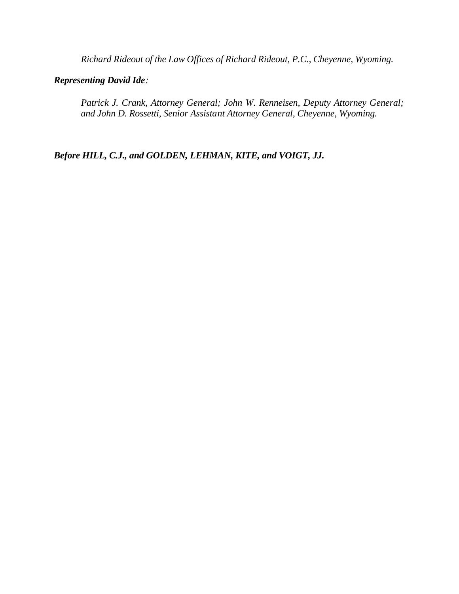*Richard Rideout of the Law Offices of Richard Rideout, P.C., Cheyenne, Wyoming.*

#### *Representing David Ide:*

*Patrick J. Crank, Attorney General; John W. Renneisen, Deputy Attorney General; and John D. Rossetti, Senior Assistant Attorney General, Cheyenne, Wyoming.*

*Before HILL, C.J., and GOLDEN, LEHMAN, KITE, and VOIGT, JJ.*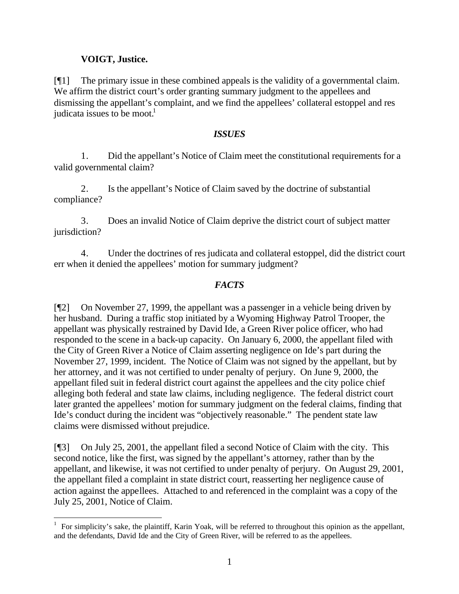## **VOIGT, Justice.**

[¶1] The primary issue in these combined appeals is the validity of a governmental claim. We affirm the district court's order granting summary judgment to the appellees and dismissing the appellant's complaint, and we find the appellees' collateral estoppel and res judicata issues to be moot.<sup>1</sup>

#### *ISSUES*

1. Did the appellant's Notice of Claim meet the constitutional requirements for a valid governmental claim?

2. Is the appellant's Notice of Claim saved by the doctrine of substantial compliance?

3. Does an invalid Notice of Claim deprive the district court of subject matter jurisdiction?

4. Under the doctrines of res judicata and collateral estoppel, did the district court err when it denied the appellees' motion for summary judgment?

## *FACTS*

[¶2] On November 27, 1999, the appellant was a passenger in a vehicle being driven by her husband. During a traffic stop initiated by a Wyoming Highway Patrol Trooper, the appellant was physically restrained by David Ide, a Green River police officer, who had responded to the scene in a back-up capacity. On January 6, 2000, the appellant filed with the City of Green River a Notice of Claim asserting negligence on Ide's part during the November 27, 1999, incident. The Notice of Claim was not signed by the appellant, but by her attorney, and it was not certified to under penalty of perjury. On June 9, 2000, the appellant filed suit in federal district court against the appellees and the city police chief alleging both federal and state law claims, including negligence. The federal district court later granted the appellees' motion for summary judgment on the federal claims, finding that Ide's conduct during the incident was "objectively reasonable." The pendent state law claims were dismissed without prejudice.

[¶3] On July 25, 2001, the appellant filed a second Notice of Claim with the city. This second notice, like the first, was signed by the appellant's attorney, rather than by the appellant, and likewise, it was not certified to under penalty of perjury. On August 29, 2001, the appellant filed a complaint in state district court, reasserting her negligence cause of action against the appellees. Attached to and referenced in the complaint was a copy of the July 25, 2001, Notice of Claim.

l 1 For simplicity's sake, the plaintiff, Karin Yoak, will be referred to throughout this opinion as the appellant, and the defendants, David Ide and the City of Green River, will be referred to as the appellees.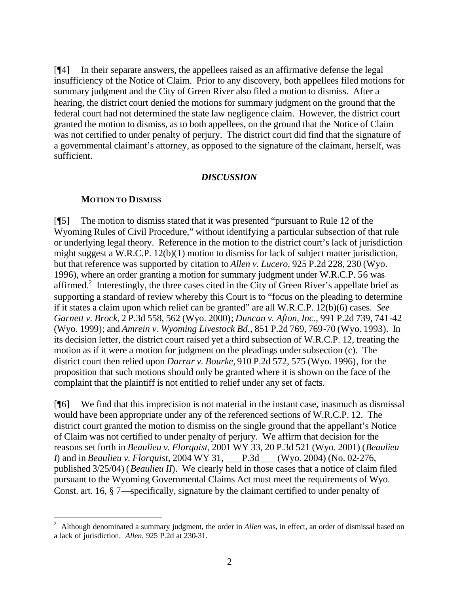[¶4] In their separate answers, the appellees raised as an affirmative defense the legal insufficiency of the Notice of Claim. Prior to any discovery, both appellees filed motions for summary judgment and the City of Green River also filed a motion to dismiss. After a hearing, the district court denied the motions for summary judgment on the ground that the federal court had not determined the state law negligence claim. However, the district court granted the motion to dismiss, as to both appellees, on the ground that the Notice of Claim was not certified to under penalty of perjury. The district court did find that the signature of a governmental claimant's attorney, as opposed to the signature of the claimant, herself, was sufficient.

#### *DISCUSSION*

#### **MOTION TO DISMISS**

[¶5] The motion to dismiss stated that it was presented "pursuant to Rule 12 of the Wyoming Rules of Civil Procedure," without identifying a particular subsection of that rule or underlying legal theory. Reference in the motion to the district court's lack of jurisdiction might suggest a W.R.C.P. 12(b)(1) motion to dismiss for lack of subject matter jurisdiction, but that reference was supported by citation to *Allen v. Lucero,* 925 P.2d 228, 230 (Wyo. 1996), where an order granting a motion for summary judgment under W.R.C.P. 56 was affirmed.<sup>2</sup> Interestingly, the three cases cited in the City of Green River's appellate brief as supporting a standard of review whereby this Court is to "focus on the pleading to determine if it states a claim upon which relief can be granted" are all W.R.C.P. 12(b)(6) cases. *See Garnett v. Brock,* 2 P.3d 558, 562 (Wyo. 2000); *Duncan v. Afton, Inc.,* 991 P.2d 739, 741-42 (Wyo. 1999); and *Amrein v. Wyoming Livestock Bd.,* 851 P.2d 769, 769-70 (Wyo. 1993). In its decision letter, the district court raised yet a third subsection of W.R.C.P. 12, treating the motion as if it were a motion for judgment on the pleadings under subsection (c). The district court then relied upon *Darrar v. Bourke,* 910 P.2d 572, 575 (Wyo. 1996), for the proposition that such motions should only be granted where it is shown on the face of the complaint that the plaintiff is not entitled to relief under any set of facts.

[¶6] We find that this imprecision is not material in the instant case, inasmuch as dismissal would have been appropriate under any of the referenced sections of W.R.C.P. 12. The district court granted the motion to dismiss on the single ground that the appellant's Notice of Claim was not certified to under penalty of perjury. We affirm that decision for the reasons set forth in *Beaulieu v. Florquist,* 2001 WY 33, 20 P.3d 521 (Wyo. 2001) (*Beaulieu I*) and in *Beaulieu v. Florquist,* 2004 WY 31, \_\_\_ P.3d \_\_\_ (Wyo. 2004) (No. 02-276, published 3/25/04) (*Beaulieu II*). We clearly held in those cases that a notice of claim filed pursuant to the Wyoming Governmental Claims Act must meet the requirements of Wyo. Const. art. 16, § 7—specifically, signature by the claimant certified to under penalty of

 $\frac{1}{2}$  Although denominated a summary judgment, the order in *Allen* was, in effect, an order of dismissal based on a lack of jurisdiction. *Allen,* 925 P.2d at 230-31.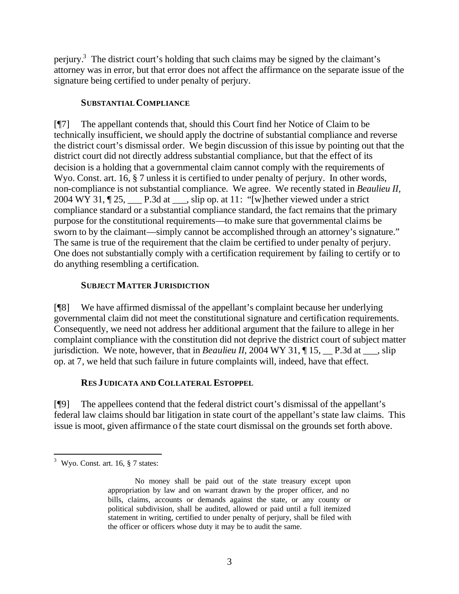perjury.<sup>3</sup> The district court's holding that such claims may be signed by the claimant's attorney was in error, but that error does not affect the affirmance on the separate issue of the signature being certified to under penalty of perjury.

#### **SUBSTANTIALCOMPLIANCE**

[¶7] The appellant contends that, should this Court find her Notice of Claim to be technically insufficient, we should apply the doctrine of substantial compliance and reverse the district court's dismissal order. We begin discussion of this issue by pointing out that the district court did not directly address substantial compliance, but that the effect of its decision is a holding that a governmental claim cannot comply with the requirements of Wyo. Const. art. 16, § 7 unless it is certified to under penalty of perjury. In other words, non-compliance is not substantial compliance. We agree. We recently stated in *Beaulieu II,*  2004 WY 31,  $\sqrt{25}$ , P.3d at \_\_\_, slip op. at 11: "[w] hether viewed under a strict compliance standard or a substantial compliance standard, the fact remains that the primary purpose for the constitutional requirements—to make sure that governmental claims be sworn to by the claimant—simply cannot be accomplished through an attorney's signature." The same is true of the requirement that the claim be certified to under penalty of perjury. One does not substantially comply with a certification requirement by failing to certify or to do anything resembling a certification.

## **SUBJECT MATTER JURISDICTION**

[¶8] We have affirmed dismissal of the appellant's complaint because her underlying governmental claim did not meet the constitutional signature and certification requirements. Consequently, we need not address her additional argument that the failure to allege in her complaint compliance with the constitution did not deprive the district court of subject matter jurisdiction. We note, however, that in *Beaulieu II*, 2004 WY 31, ¶ 15, \_\_ P.3d at \_\_\_, slip op. at 7, we held that such failure in future complaints will, indeed, have that effect.

# **RES JUDICATA AND COLLATERAL ESTOPPEL**

[¶9] The appellees contend that the federal district court's dismissal of the appellant's federal law claims should bar litigation in state court of the appellant's state law claims. This issue is moot, given affirmance of the state court dismissal on the grounds set forth above.

 $3$  Wyo. Const. art. 16,  $\S$  7 states:

No money shall be paid out of the state treasury except upon appropriation by law and on warrant drawn by the proper officer, and no bills, claims, accounts or demands against the state, or any county or political subdivision, shall be audited, allowed or paid until a full itemized statement in writing, certified to under penalty of perjury, shall be filed with the officer or officers whose duty it may be to audit the same.